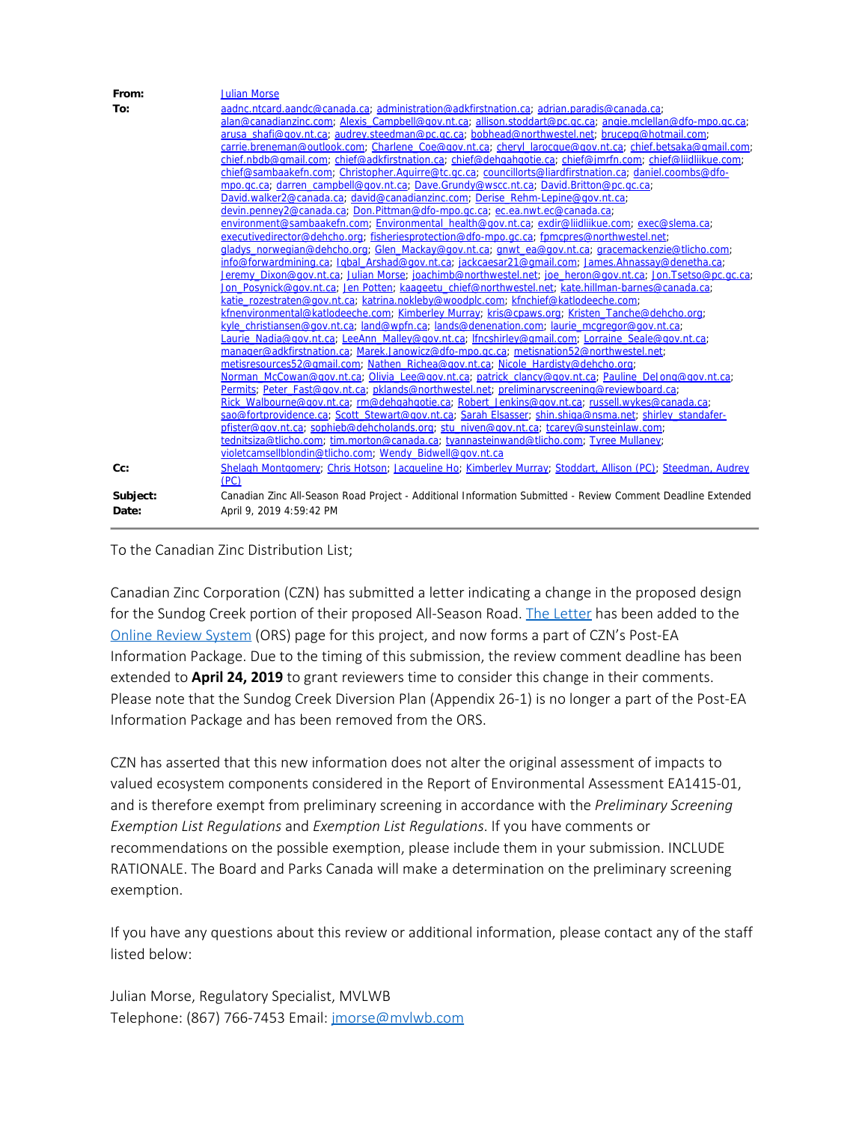| From:    | <b>Julian Morse</b>                                                                                                 |
|----------|---------------------------------------------------------------------------------------------------------------------|
| To:      | aadnc.ntcard.aandc@canada.ca; administration@adkfirstnation.ca; adrian.paradis@canada.ca;                           |
|          | alan@canadianzinc.com; Alexis Campbell@gov.nt.ca; allison.stoddart@pc.gc.ca; angie.mclellan@dfo-mpo.gc.ca;          |
|          | arusa shafi@qov.nt.ca; audrey.steedman@pc.qc.ca; bobhead@northwestel.net; brucepq@hotmail.com;                      |
|          | carrie.breneman@outlook.com; Charlene Coe@gov.nt.ca; cheryl larocque@gov.nt.ca; chief.betsaka@gmail.com;            |
|          | chief.nbdb@qmail.com; chief@adkfirstnation.ca; chief@dehgahgotie.ca; chief@jmrfn.com; chief@liidliikue.com;         |
|          | chief@sambaakefn.com; Christopher.Aquirre@tc.gc.ca; councillorts@liardfirstnation.ca; daniel.coombs@dfo-            |
|          | mpo.gc.ca; darren_campbell@gov.nt.ca; Dave.Grundy@wscc.nt.ca; David.Britton@pc.gc.ca;                               |
|          | David.walker2@canada.ca; david@canadianzinc.com; Derise Rehm-Lepine@gov.nt.ca;                                      |
|          | devin.penney2@canada.ca; Don.Pittman@dfo-mpo.gc.ca; ec.ea.nwt.ec@canada.ca;                                         |
|          | environment@sambaakefn.com; Environmental health@gov.nt.ca; exdir@liidliikue.com; exec@slema.ca;                    |
|          | executivedirector@dehcho.org; fisheriesprotection@dfo-mpo.gc.ca; fpmcpres@northwestel.net;                          |
|          | gladys norwegian@dehcho.org; Glen Mackay@gov.nt.ca; gnwt ea@gov.nt.ca; gracemackenzie@tlicho.com;                   |
|          | info@forwardmining.ca; Igbal Arshad@gov.nt.ca; jackcaesar21@gmail.com; James.Ahnassay@denetha.ca;                   |
|          | Jeremy Dixon@gov.nt.ca; Julian Morse; joachimb@northwestel.net; joe heron@gov.nt.ca; Jon.Tsetso@pc.gc.ca;           |
|          | Jon Posynick@gov.nt.ca; Jen Potten; kaageetu chief@northwestel.net; kate.hillman-barnes@canada.ca;                  |
|          | katie_rozestraten@gov.nt.ca; katrina.nokleby@woodplc.com; kfnchief@katlodeeche.com;                                 |
|          | kfnenvironmental@katlodeeche.com; Kimberley Murray; kris@cpaws.org; Kristen Tanche@dehcho.org;                      |
|          | kyle christiansen@gov.nt.ca; land@wpfn.ca; lands@denenation.com; laurie mcgregor@gov.nt.ca;                         |
|          | Laurie Nadia@gov.nt.ca; LeeAnn Malley@gov.nt.ca; lfncshirley@gmail.com; Lorraine Seale@gov.nt.ca;                   |
|          | manager@adkfirstnation.ca; Marek.Janowicz@dfo-mpo.gc.ca; metisnation52@northwestel.net;                             |
|          | metisresources52@gmail.com; Nathen Richea@gov.nt.ca; Nicole Hardisty@dehcho.org;                                    |
|          | Norman McCowan@gov.nt.ca; Olivia Lee@gov.nt.ca; patrick clancy@gov.nt.ca; Pauline DeJong@gov.nt.ca;                 |
|          | Permits; Peter Fast@gov.nt.ca; pklands@northwestel.net; preliminaryscreening@reviewboard.ca;                        |
|          | Rick Walbourne@gov.nt.ca; rm@dehgahgotie.ca; Robert Jenkins@gov.nt.ca; russell.wykes@canada.ca;                     |
|          | sao@fortprovidence.ca; Scott Stewart@gov.nt.ca; Sarah Elsasser; shin.shiga@nsma.net; shirley standafer-             |
|          | pfister@gov.nt.ca; sophieb@dehcholands.org; stu niven@gov.nt.ca; tcarey@sunsteinlaw.com;                            |
|          | tednitsiza@tlicho.com; tim.morton@canada.ca; tyannasteinwand@tlicho.com; Tyree Mullaney;                            |
|          | violetcamsellblondin@tlicho.com; Wendy Bidwell@gov.nt.ca                                                            |
| Cc:      | Shelagh Montgomery; Chris Hotson; Jacqueline Ho; Kimberley Murray; Stoddart, Allison (PC); Steedman, Audrey<br>(PC) |
| Subject: | Canadian Zinc All-Season Road Project - Additional Information Submitted - Review Comment Deadline Extended         |
| Date:    | April 9, 2019 4:59:42 PM                                                                                            |

## To the Canadian Zinc Distribution List;

Canadian Zinc Corporation (CZN) has submitted a letter indicating a change in the proposed design for the Sundog Creek portion of their proposed All-Season Road. [The Letter](http://registry.mvlwb.ca/Documents/MV2014L8-0006/MV2014L8-0006%20-%20CZN%20-%20Letter%20re%20Sundog%20diversion%20-%20Apr%206_19.pdf) has been added to the [Online Review System](http://lwbors.yk.com/LWB_IMS/ReviewComment.aspx?appid=12674) (ORS) page for this project, and now forms a part of CZN's Post-EA Information Package. Due to the timing of this submission, the review comment deadline has been extended to **April 24, 2019** to grant reviewers time to consider this change in their comments. Please note that the Sundog Creek Diversion Plan (Appendix 26-1) is no longer a part of the Post-EA Information Package and has been removed from the ORS.

CZN has asserted that this new information does not alter the original assessment of impacts to valued ecosystem components considered in the Report of Environmental Assessment EA1415-01, and is therefore exempt from preliminary screening in accordance with the *Preliminary Screening Exemption List Regulations* and *Exemption List Regulations*. If you have comments or recommendations on the possible exemption, please include them in your submission. INCLUDE RATIONALE. The Board and Parks Canada will make a determination on the preliminary screening exemption.

If you have any questions about this review or additional information, please contact any of the staff listed below:

Julian Morse, Regulatory Specialist, MVLWB Telephone: (867) 766-7453 Email: [jmorse@mvlwb.com](mailto:jmorse@mvlwb.com)